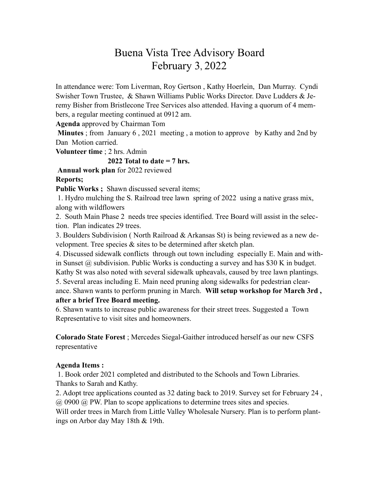## Buena Vista Tree Advisory Board February 3, 2022

In attendance were: Tom Liverman, Roy Gertson , Kathy Hoerlein, Dan Murray. Cyndi Swisher Town Trustee, & Shawn Williams Public Works Director. Dave Ludders & Jeremy Bisher from Bristlecone Tree Services also attended. Having a quorum of 4 members, a regular meeting continued at 0912 am.

**Agenda** approved by Chairman Tom

**Minutes** ; from January 6 , 2021 meeting , a motion to approve by Kathy and 2nd by Dan Motion carried.

**Volunteer time** ; 2 hrs. Admin

## **2022 Total to date = 7 hrs.**

**Annual work plan** for 2022 reviewed

## **Reports;**

Public Works ; Shawn discussed several items;

 1. Hydro mulching the S. Railroad tree lawn spring of 2022 using a native grass mix, along with wildflowers

2. South Main Phase 2 needs tree species identified. Tree Board will assist in the selection. Plan indicates 29 trees.

3. Boulders Subdivision ( North Railroad & Arkansas St) is being reviewed as a new development. Tree species & sites to be determined after sketch plan.

4. Discussed sidewalk conflicts through out town including especially E. Main and within Sunset  $\omega$  subdivision. Public Works is conducting a survey and has \$30 K in budget. Kathy St was also noted with several sidewalk upheavals, caused by tree lawn plantings. 5. Several areas including E. Main need pruning along sidewalks for pedestrian clear-

ance. Shawn wants to perform pruning in March. **Will setup workshop for March 3rd , after a brief Tree Board meeting.** 

6. Shawn wants to increase public awareness for their street trees. Suggested a Town Representative to visit sites and homeowners.

**Colorado State Forest** ; Mercedes Siegal-Gaither introduced herself as our new CSFS representative

## **Agenda Items :**

1. Book order 2021 completed and distributed to the Schools and Town Libraries. Thanks to Sarah and Kathy.

2. Adopt tree applications counted as 32 dating back to 2019. Survey set for February 24 , @ 0900 @ PW. Plan to scope applications to determine trees sites and species.

Will order trees in March from Little Valley Wholesale Nursery. Plan is to perform plantings on Arbor day May 18th & 19th.